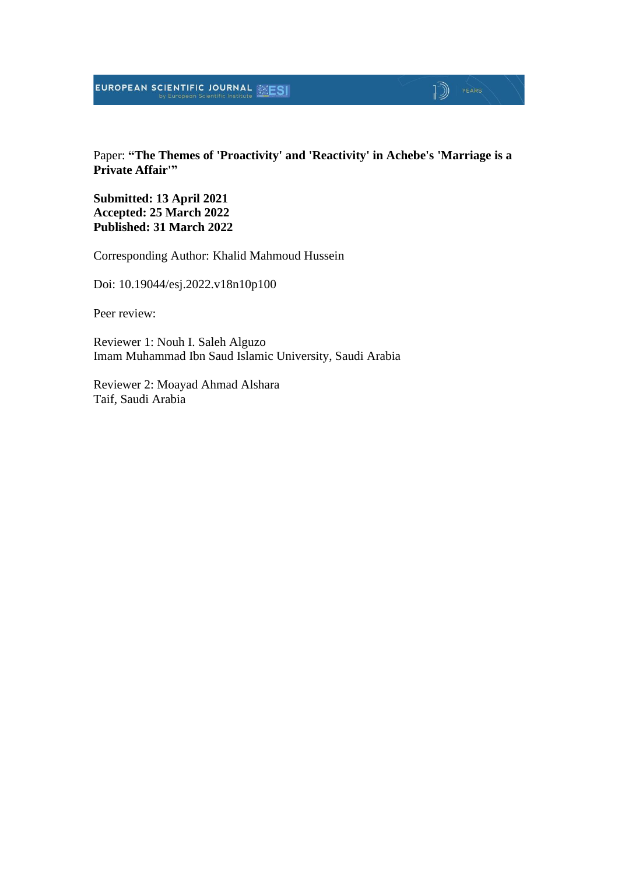#### Paper: **"The Themes of 'Proactivity' and 'Reactivity' in Achebe's 'Marriage is a Private Affair'"**

 $\sqrt{2}$   $\sqrt{2}$ 

**Submitted: 13 April 2021 Accepted: 25 March 2022 Published: 31 March 2022**

Corresponding Author: Khalid Mahmoud Hussein

Doi: 10.19044/esj.2022.v18n10p100

Peer review:

Reviewer 1: Nouh I. Saleh Alguzo Imam Muhammad Ibn Saud Islamic University, Saudi Arabia

Reviewer 2: Moayad Ahmad Alshara Taif, Saudi Arabia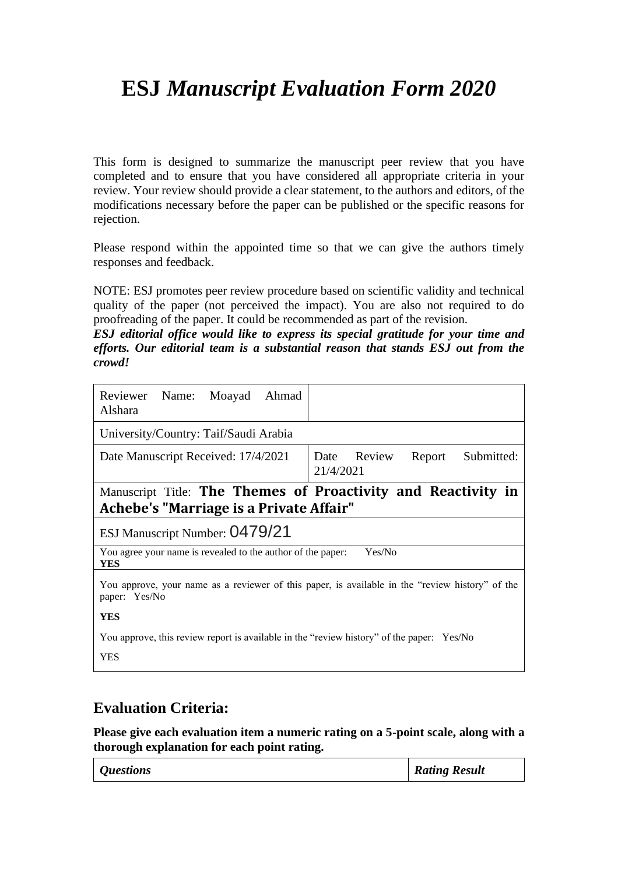# **ESJ** *Manuscript Evaluation Form 2020*

This form is designed to summarize the manuscript peer review that you have completed and to ensure that you have considered all appropriate criteria in your review. Your review should provide a clear statement, to the authors and editors, of the modifications necessary before the paper can be published or the specific reasons for rejection.

Please respond within the appointed time so that we can give the authors timely responses and feedback.

NOTE: ESJ promotes peer review procedure based on scientific validity and technical quality of the paper (not perceived the impact). You are also not required to do proofreading of the paper. It could be recommended as part of the revision.

*ESJ editorial office would like to express its special gratitude for your time and efforts. Our editorial team is a substantial reason that stands ESJ out from the crowd!*

| Reviewer Name: Moayad<br>Ahmad<br>Alshara                                                                        |                                                               |  |
|------------------------------------------------------------------------------------------------------------------|---------------------------------------------------------------|--|
| University/Country: Taif/Saudi Arabia                                                                            |                                                               |  |
| Date Manuscript Received: 17/4/2021                                                                              | Date Review<br>Submitted:<br>Report<br>21/4/2021              |  |
|                                                                                                                  | Manuscript Title: The Themes of Proactivity and Reactivity in |  |
| Achebe's "Marriage is a Private Affair"                                                                          |                                                               |  |
| ESJ Manuscript Number: 0479/21                                                                                   |                                                               |  |
| Yes/No<br>You agree your name is revealed to the author of the paper:<br>YES                                     |                                                               |  |
| You approve, your name as a reviewer of this paper, is available in the "review history" of the<br>paper: Yes/No |                                                               |  |
| <b>YES</b>                                                                                                       |                                                               |  |
| You approve, this review report is available in the "review history" of the paper: Yes/No                        |                                                               |  |
| <b>YES</b>                                                                                                       |                                                               |  |

### **Evaluation Criteria:**

**Please give each evaluation item a numeric rating on a 5-point scale, along with a thorough explanation for each point rating.**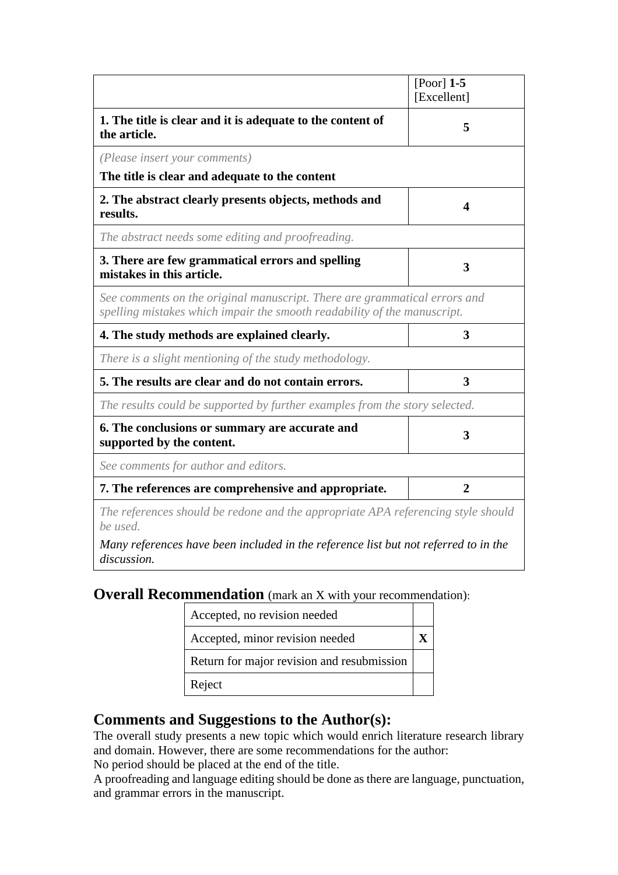|                                                                                                                                                       | [Poor] $1-5$   |
|-------------------------------------------------------------------------------------------------------------------------------------------------------|----------------|
|                                                                                                                                                       | [Excellent]    |
| 1. The title is clear and it is adequate to the content of<br>the article.                                                                            | 5              |
| (Please insert your comments)                                                                                                                         |                |
| The title is clear and adequate to the content                                                                                                        |                |
| 2. The abstract clearly presents objects, methods and<br>results.                                                                                     | 4              |
| The abstract needs some editing and proofreading.                                                                                                     |                |
| 3. There are few grammatical errors and spelling<br>mistakes in this article.                                                                         | 3              |
| See comments on the original manuscript. There are grammatical errors and<br>spelling mistakes which impair the smooth readability of the manuscript. |                |
| 4. The study methods are explained clearly.                                                                                                           | 3              |
| There is a slight mentioning of the study methodology.                                                                                                |                |
| 5. The results are clear and do not contain errors.                                                                                                   | 3              |
| The results could be supported by further examples from the story selected.                                                                           |                |
| 6. The conclusions or summary are accurate and<br>supported by the content.                                                                           | 3              |
| See comments for author and editors.                                                                                                                  |                |
| 7. The references are comprehensive and appropriate.                                                                                                  | $\overline{2}$ |
| The references should be redone and the appropriate APA referencing style should<br>be used.                                                          |                |

*Many references have been included in the reference list but not referred to in the discussion.*

**Overall Recommendation** (mark an X with your recommendation):

| Accepted, no revision needed               |  |
|--------------------------------------------|--|
| Accepted, minor revision needed            |  |
| Return for major revision and resubmission |  |
| Reject                                     |  |

## **Comments and Suggestions to the Author(s):**

The overall study presents a new topic which would enrich literature research library and domain. However, there are some recommendations for the author: No period should be placed at the end of the title.

A proofreading and language editing should be done as there are language, punctuation, and grammar errors in the manuscript.